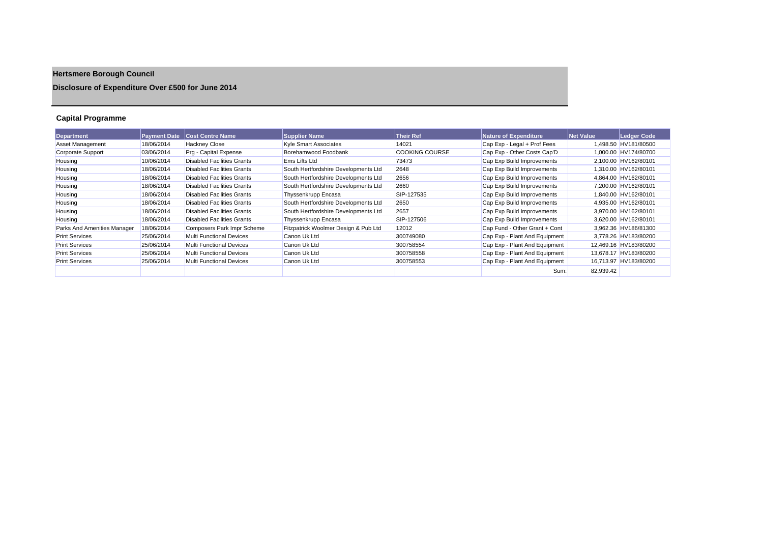# **Hertsmere Borough Council**

## **Disclosure of Expenditure Over £500 for June 2014**

## **Capital Programme**

| Department                  | <b>Payment Date</b> | <b>Cost Centre Name</b>           | <b>Supplier Name</b>                 | <b>Their Ref</b>      | Nature of Expenditure         | <b>Net Value</b> | Ledger Code           |
|-----------------------------|---------------------|-----------------------------------|--------------------------------------|-----------------------|-------------------------------|------------------|-----------------------|
| <b>Asset Management</b>     | 18/06/2014          | <b>Hackney Close</b>              | <b>Kyle Smart Associates</b>         | 14021                 | Cap Exp - Legal + Prof Fees   |                  | 1,498.50 HV181/80500  |
| Corporate Support           | 03/06/2014          | Prg - Capital Expense             | Borehamwood Foodbank                 | <b>COOKING COURSE</b> | Cap Exp - Other Costs Cap'D   |                  | 1,000.00 HV174/80700  |
| Housing                     | 10/06/2014          | <b>Disabled Facilities Grants</b> | <b>Ems Lifts Ltd</b>                 | 73473                 | Cap Exp Build Improvements    |                  | 2,100.00 HV162/80101  |
| Housing                     | 18/06/2014          | <b>Disabled Facilities Grants</b> | South Hertfordshire Developments Ltd | 2648                  | Cap Exp Build Improvements    |                  | 1.310.00 HV162/80101  |
| Housing                     | 18/06/2014          | <b>Disabled Facilities Grants</b> | South Hertfordshire Developments Ltd | 2656                  | Cap Exp Build Improvements    |                  | 4,864.00 HV162/80101  |
| Housing                     | 18/06/2014          | <b>Disabled Facilities Grants</b> | South Hertfordshire Developments Ltd | 2660                  | Cap Exp Build Improvements    |                  | 7,200.00 HV162/80101  |
| Housing                     | 18/06/2014          | Disabled Facilities Grants        | Thyssenkrupp Encasa                  | SIP-127535            | Cap Exp Build Improvements    |                  | 1.840.00 HV162/80101  |
| Housing                     | 18/06/2014          | <b>Disabled Facilities Grants</b> | South Hertfordshire Developments Ltd | 2650                  | Cap Exp Build Improvements    |                  | 4.935.00 HV162/80101  |
| Housing                     | 18/06/2014          | <b>Disabled Facilities Grants</b> | South Hertfordshire Developments Ltd | 2657                  | Cap Exp Build Improvements    |                  | 3,970.00 HV162/80101  |
| Housing                     | 18/06/2014          | Disabled Facilities Grants        | Thyssenkrupp Encasa                  | SIP-127506            | Cap Exp Build Improvements    |                  | 3,620.00 HV162/80101  |
| Parks And Amenities Manager | 18/06/2014          | Composers Park Impr Scheme        | Fitzpatrick Woolmer Design & Pub Ltd | 12012                 | Cap Fund - Other Grant + Cont |                  | 3,962.36 HV186/81300  |
| <b>Print Services</b>       | 25/06/2014          | Multi Functional Devices          | Canon Uk Ltd                         | 300749080             | Cap Exp - Plant And Equipment |                  | 3.778.26 HV183/80200  |
| <b>Print Services</b>       | 25/06/2014          | Multi Functional Devices          | Canon Uk Ltd                         | 300758554             | Cap Exp - Plant And Equipment |                  | 12,469.16 HV183/80200 |
| <b>Print Services</b>       | 25/06/2014          | Multi Functional Devices          | Canon Uk Ltd                         | 300758558             | Cap Exp - Plant And Equipment |                  | 13.678.17 HV183/80200 |
| <b>Print Services</b>       | 25/06/2014          | Multi Functional Devices          | Canon Uk Ltd                         | 300758553             | Cap Exp - Plant And Equipment |                  | 16,713.97 HV183/80200 |
|                             |                     |                                   |                                      |                       | Sum:                          | 82,939.42        |                       |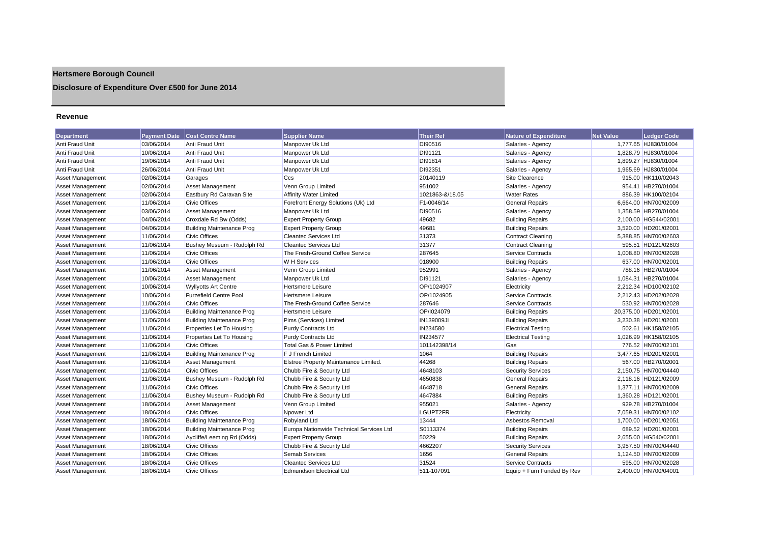## **Hertsmere Borough Council**

## **Disclosure of Expenditure Over £500 for June 2014**

#### **Revenue**

| <b>Department</b>       | <b>Payment Date</b> | Cost Centre Name                 | <b>Supplier Name</b>                     | <b>Their Ref</b> | <b>Nature of Expenditure</b> | <b>Net Value</b> | <b>Ledger Code</b>    |
|-------------------------|---------------------|----------------------------------|------------------------------------------|------------------|------------------------------|------------------|-----------------------|
| Anti Fraud Unit         | 03/06/2014          | <b>Anti Fraud Unit</b>           | Manpower Uk Ltd                          | DI90516          | Salaries - Agency            |                  | 1,777.65 HJ830/01004  |
| Anti Fraud Unit         | 10/06/2014          | <b>Anti Fraud Unit</b>           | Manpower Uk Ltd                          | DI91121          | Salaries - Agency            |                  | 1,828.79 HJ830/01004  |
| Anti Fraud Unit         | 19/06/2014          | <b>Anti Fraud Unit</b>           | Manpower Uk Ltd                          | DI91814          | Salaries - Agency            |                  | 1,899.27 HJ830/01004  |
| Anti Fraud Unit         | 26/06/2014          | Anti Fraud Unit                  | Manpower Uk Ltd                          | DI92351          | Salaries - Agency            |                  | 1,965.69 HJ830/01004  |
| Asset Management        | 02/06/2014          | Garages                          | Ccs                                      | 20140119         | Site Clearence               |                  | 915.00 HK110/02043    |
| Asset Management        | 02/06/2014          | <b>Asset Management</b>          | Venn Group Limited                       | 951002           | Salaries - Agency            |                  | 954.41 HB270/01004    |
| <b>Asset Management</b> | 02/06/2014          | Eastbury Rd Caravan Site         | <b>Affinity Water Limited</b>            | 1021863-&/18.05  | <b>Water Rates</b>           |                  | 886.39 HK100/02104    |
| Asset Management        | 11/06/2014          | <b>Civic Offices</b>             | Forefront Energy Solutions (Uk) Ltd      | F1-0046/14       | <b>General Repairs</b>       |                  | 6,664.00 HN700/02009  |
| Asset Management        | 03/06/2014          | <b>Asset Management</b>          | Manpower Uk Ltd                          | DI90516          | Salaries - Agency            |                  | 1,358.59 HB270/01004  |
| <b>Asset Management</b> | 04/06/2014          | Croxdale Rd Bw (Odds)            | <b>Expert Property Group</b>             | 49682            | <b>Building Repairs</b>      |                  | 2,100.00 HG544/02001  |
| Asset Management        | 04/06/2014          | <b>Building Maintenance Prog</b> | <b>Expert Property Group</b>             | 49681            | <b>Building Repairs</b>      |                  | 3,520.00 HD201/02001  |
| <b>Asset Management</b> | 11/06/2014          | <b>Civic Offices</b>             | <b>Cleantec Services Ltd</b>             | 31373            | <b>Contract Cleaning</b>     |                  | 5,388.85 HN700/02603  |
| <b>Asset Management</b> | 11/06/2014          | Bushey Museum - Rudolph Rd       | Cleantec Services Ltd                    | 31377            | <b>Contract Cleaning</b>     |                  | 595.51 HD121/02603    |
| <b>Asset Management</b> | 11/06/2014          | <b>Civic Offices</b>             | The Fresh-Ground Coffee Service          | 287645           | <b>Service Contracts</b>     |                  | 1,008.80 HN700/02028  |
| Asset Management        | 11/06/2014          | <b>Civic Offices</b>             | <b>W</b> H Services                      | 018900           | <b>Building Repairs</b>      |                  | 637.00 HN700/02001    |
| Asset Management        | 11/06/2014          | <b>Asset Management</b>          | Venn Group Limited                       | 952991           | Salaries - Agency            |                  | 788.16 HB270/01004    |
| <b>Asset Management</b> | 10/06/2014          | <b>Asset Management</b>          | Manpower Uk Ltd                          | DI91121          | Salaries - Agency            |                  | 1.084.31 HB270/01004  |
| <b>Asset Management</b> | 10/06/2014          | <b>Wyllyotts Art Centre</b>      | <b>Hertsmere Leisure</b>                 | OP/1024907       | Electricity                  |                  | 2,212.34 HD100/02102  |
| Asset Management        | 10/06/2014          | <b>Furzefield Centre Pool</b>    | <b>Hertsmere Leisure</b>                 | OP/1024905       | <b>Service Contracts</b>     |                  | 2,212.43 HD202/02028  |
| Asset Management        | 11/06/2014          | <b>Civic Offices</b>             | The Fresh-Ground Coffee Service          | 287646           | <b>Service Contracts</b>     |                  | 530.92 HN700/02028    |
| <b>Asset Management</b> | 11/06/2014          | <b>Building Maintenance Prog</b> | <b>Hertsmere Leisure</b>                 | OP/1024079       | <b>Building Repairs</b>      |                  | 20,375.00 HD201/02001 |
| <b>Asset Management</b> | 11/06/2014          | <b>Building Maintenance Prog</b> | Pims (Services) Limited                  | IN139009JI       | <b>Building Repairs</b>      |                  | 3,230.38 HD201/02001  |
| Asset Management        | 11/06/2014          | Properties Let To Housing        | <b>Purdy Contracts Ltd</b>               | IN234580         | <b>Electrical Testing</b>    |                  | 502.61 HK158/02105    |
| <b>Asset Management</b> | 11/06/2014          | Properties Let To Housing        | <b>Purdy Contracts Ltd</b>               | IN234577         | <b>Electrical Testing</b>    |                  | 1,026.99 HK158/02105  |
| <b>Asset Management</b> | 11/06/2014          | <b>Civic Offices</b>             | <b>Total Gas &amp; Power Limited</b>     | 101142398/14     | Gas                          |                  | 776.52 HN700/02101    |
| <b>Asset Management</b> | 11/06/2014          | <b>Building Maintenance Prog</b> | F J French Limited                       | 1064             | <b>Building Repairs</b>      |                  | 3,477.65 HD201/02001  |
| <b>Asset Management</b> | 11/06/2014          | Asset Management                 | Elstree Property Maintenance Limited.    | 44268            | <b>Building Repairs</b>      |                  | 567.00 HB270/02001    |
| <b>Asset Management</b> | 11/06/2014          | <b>Civic Offices</b>             | Chubb Fire & Security Ltd                | 4648103          | <b>Security Services</b>     |                  | 2,150.75 HN700/04440  |
| Asset Management        | 11/06/2014          | Bushey Museum - Rudolph Rd       | Chubb Fire & Security Ltd                | 4650838          | <b>General Repairs</b>       |                  | 2,118.16 HD121/02009  |
| Asset Management        | 11/06/2014          | <b>Civic Offices</b>             | Chubb Fire & Security Ltd                | 4648718          | <b>General Repairs</b>       |                  | 1,377.11 HN700/02009  |
| <b>Asset Management</b> | 11/06/2014          | Bushey Museum - Rudolph Rd       | Chubb Fire & Security Ltd                | 4647884          | <b>Building Repairs</b>      |                  | 1,360.28 HD121/02001  |
| <b>Asset Management</b> | 18/06/2014          | Asset Management                 | Venn Group Limited                       | 955021           | Salaries - Agency            |                  | 929.78 HB270/01004    |
| <b>Asset Management</b> | 18/06/2014          | <b>Civic Offices</b>             | Npower Ltd                               | LGUPT2FR         | Electricity                  |                  | 7,059.31 HN700/02102  |
| Asset Management        | 18/06/2014          | <b>Building Maintenance Prog</b> | Robyland Ltd                             | 13444            | Asbestos Removal             |                  | 1,700.00 HD201/02051  |
| <b>Asset Management</b> | 18/06/2014          | <b>Building Maintenance Prog</b> | Europa Nationwide Technical Services Ltd | S0113374         | <b>Building Repairs</b>      |                  | 689.52 HD201/02001    |
| <b>Asset Management</b> | 18/06/2014          | Aycliffe/Leeming Rd (Odds)       | <b>Expert Property Group</b>             | 50229            | <b>Building Repairs</b>      |                  | 2.655.00 HG540/02001  |
| Asset Management        | 18/06/2014          | <b>Civic Offices</b>             | Chubb Fire & Security Ltd                | 4662207          | <b>Security Services</b>     |                  | 3,957.50 HN700/04440  |
| <b>Asset Management</b> | 18/06/2014          | <b>Civic Offices</b>             | <b>Semab Services</b>                    | 1656             | <b>General Repairs</b>       |                  | 1,124.50 HN700/02009  |
| Asset Management        | 18/06/2014          | <b>Civic Offices</b>             | <b>Cleantec Services Ltd</b>             | 31524            | <b>Service Contracts</b>     |                  | 595.00 HN700/02028    |
| Asset Management        | 18/06/2014          | Civic Offices                    | Edmundson Electrical Ltd                 | 511-107091       | Equip + Furn Funded By Rev   |                  | 2.400.00 HN700/04001  |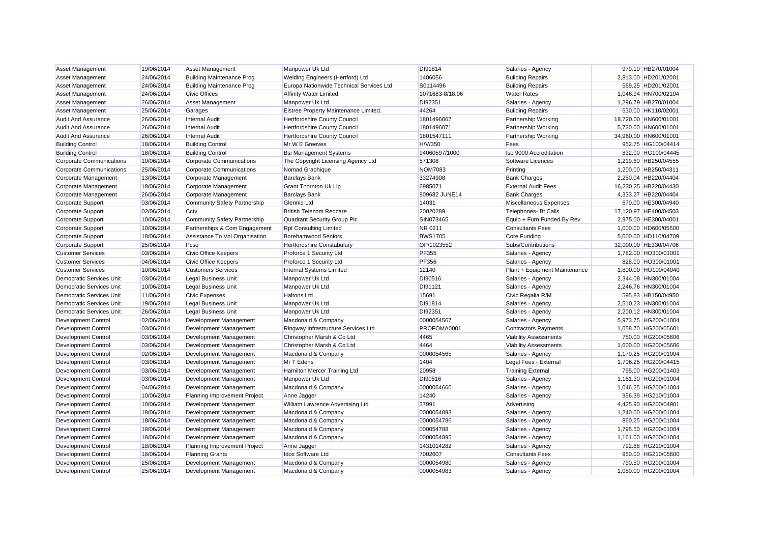| <b>Asset Management</b>         | 19/06/2014 | <b>Asset Management</b>             | Manpower Uk Ltd                          | DI91814         | Salaries - Agency             | 979.10 HB270/01004    |
|---------------------------------|------------|-------------------------------------|------------------------------------------|-----------------|-------------------------------|-----------------------|
| <b>Asset Management</b>         | 24/06/2014 | <b>Building Maintenance Prog</b>    | Welding Engineers (Hertford) Ltd         | 1406056         | <b>Building Repairs</b>       | 2,813.00 HD201/02001  |
| <b>Asset Management</b>         | 24/06/2014 | <b>Building Maintenance Prog</b>    | Europa Nationwide Technical Services Ltd | S0114496        | <b>Building Repairs</b>       | 569.25 HD201/02001    |
| Asset Management                | 24/06/2014 | <b>Civic Offices</b>                | <b>Affinity Water Limited</b>            | 1071683-8/18.06 | <b>Water Rates</b>            | 1,046.94 HN700/02104  |
| <b>Asset Management</b>         | 26/06/2014 | <b>Asset Management</b>             | Manpower Uk Ltd                          | DI92351         | Salaries - Agency             | 1,296.79 HB270/01004  |
| <b>Asset Management</b>         | 25/06/2014 | Garages                             | Elstree Property Maintenance Limited.    | 44264           | <b>Building Repairs</b>       | 530.00 HK110/02001    |
| <b>Audit And Assurance</b>      | 26/06/2014 | <b>Internal Audit</b>               | Hertfordshire County Council             | 1801496067      | Partnership Working           | 18,720.00 HN600/01001 |
| <b>Audit And Assurance</b>      | 26/06/2014 | <b>Internal Audit</b>               | Hertfordshire County Council             | 1801496071      | Partnership Working           | 5,720.00 HN600/01001  |
| <b>Audit And Assurance</b>      | 26/06/2014 | <b>Internal Audit</b>               | Hertfordshire County Council             | 1801547111      | Partnership Working           | 34,960.00 HN600/01001 |
| <b>Building Control</b>         | 18/06/2014 | <b>Building Control</b>             | Mr W E Greeves                           | H/V/350         | Fees                          | 952.75 HG100/04414    |
| <b>Building Control</b>         | 18/06/2014 | <b>Building Control</b>             | <b>Bsi Management Systems</b>            | 94060597/1000   | Iso 9000 Accreditation        | 832.00 HG100/04445    |
| Corporate Communications        | 10/06/2014 | <b>Corporate Communications</b>     | The Copyright Licensing Agency Ltd       | 571308          | Software Licences             | 1,219.60 HB250/04555  |
| Corporate Communications        | 25/06/2014 | <b>Corporate Communications</b>     | Nomad Graphique                          | <b>NOM7083</b>  | Printing                      | 1,200.00 HB250/04311  |
| Corporate Management            | 13/06/2014 | Corporate Management                | <b>Barclays Bank</b>                     | 33274908        | <b>Bank Charges</b>           | 2.250.04 HB220/04404  |
| Corporate Management            | 18/06/2014 | Corporate Management                | <b>Grant Thornton Uk Llp</b>             | 6985071         | <b>External Audit Fees</b>    | 16,230.25 HB220/04430 |
| Corporate Management            | 26/06/2014 | Corporate Management                | <b>Barclays Bank</b>                     | 909682 JUNE14   | <b>Bank Charges</b>           | 4.333.27 HB220/04404  |
| <b>Corporate Support</b>        | 03/06/2014 | <b>Community Safety Partnership</b> | Glennie Ltd                              | 14031           | Miscellaneous Expenses        | 670.00 HE300/04940    |
| Corporate Support               | 02/06/2014 | Cctv                                | <b>British Telecom Redcare</b>           | 20020289        | Telephones- Bt Calls          | 17,120.97 HE400/04503 |
| <b>Corporate Support</b>        | 10/06/2014 | <b>Community Safety Partnership</b> | Quadrant Security Group Plc              | SIN073465       | Equip + Furn Funded By Rev    | 2,975.00 HE300/04001  |
| <b>Corporate Support</b>        | 10/06/2014 | Partnerships & Com Engagement       | <b>Rpt Consulting Limited</b>            | NR 0211         | <b>Consultants Fees</b>       | 1,000.00 HD600/05600  |
| Corporate Support               | 18/06/2014 | Assistance To Vol Organisation      | <b>Borehamwood Seniors</b>               | <b>BWS1705</b>  | Core Funding                  | 5,000.00 HD110/04709  |
| <b>Corporate Support</b>        | 25/06/2014 | Pcso                                | Hertfordshire Constabulary               | OP/1023552      | Subs/Contributions            | 32,000.00 HE330/04706 |
| <b>Customer Services</b>        | 03/06/2014 | <b>Civic Office Keepers</b>         | Proforce 1 Security Ltd                  | <b>PF355</b>    | Salaries - Agency             | 1,782.00 HO300/01001  |
| <b>Customer Services</b>        | 04/06/2014 | <b>Civic Office Keepers</b>         | Proforce 1 Security Ltd                  | PF356           | Salaries - Agency             | 828.00 HO300/01001    |
| <b>Customer Services</b>        | 10/06/2014 | <b>Customers Services</b>           | Internal Systems Limited                 | 12140           | Plant + Equipment Maintenance | 1,800.00 HO100/04040  |
| <b>Democratic Services Unit</b> | 03/06/2014 | <b>Legal Business Unit</b>          | Manpower Uk Ltd                          | DI90516         | Salaries - Agency             | 2,344.08 HN300/01004  |
| <b>Democratic Services Unit</b> | 10/06/2014 | <b>Legal Business Unit</b>          | Manpower Uk Ltd                          | DI91121         | Salaries - Agency             | 2,246.76 HN300/01004  |
| <b>Democratic Services Unit</b> | 11/06/2014 | <b>Civic Expenses</b>               | <b>Haltons Ltd</b>                       | 15691           | Civic Regalia R/M             | 595.83 HB150/04950    |
| Democratic Services Unit        | 19/06/2014 | <b>Legal Business Unit</b>          | Manpower Uk Ltd                          | DI91814         | Salaries - Agency             | 2,510.23 HN300/01004  |
| Democratic Services Unit        | 26/06/2014 | <b>Legal Business Unit</b>          | Manpower Uk Ltd                          | DI92351         | Salaries - Agency             | 2,200.12 HN300/01004  |
| <b>Development Control</b>      | 02/06/2014 | Development Management              | Macdonald & Company                      | 0000054567      | Salaries - Agency             | 5,973.75 HG200/01004  |
| Development Control             | 03/06/2014 | Development Management              | Ringway Infrastructure Services Ltd      | PROFOMA0001     | <b>Contractors Payments</b>   | 1,058.70 HG200/05601  |
| Development Control             | 03/06/2014 | Development Management              | Christopher Marsh & Co Ltd               | 4465            | <b>Viability Assessments</b>  | 750.00 HG200/05606    |
| Development Control             | 03/06/2014 | Development Management              | Christopher Marsh & Co Ltd               | 4464            | <b>Viability Assessments</b>  | 1,600.00 HG200/05606  |
| <b>Development Control</b>      | 02/06/2014 | Development Management              | Macdonald & Company                      | 0000054565      | Salaries - Agency             | 1,170.25 HG200/01004  |
| Development Control             | 03/06/2014 | Development Management              | Mr T Edens                               | 1404            | Legal Fees - External         | 1,706.25 HG200/04415  |
| Development Control             | 03/06/2014 | Development Management              | Hamilton Mercer Training Ltd             | 20958           | <b>Training External</b>      | 795.00 HG200/01403    |
| Development Control             | 03/06/2014 | Development Management              | Manpower Uk Ltd                          | DI90516         | Salaries - Agency             | 1,161.30 HG200/01004  |
| <b>Development Control</b>      | 04/06/2014 | Development Management              | Macdonald & Company                      | 0000054660      | Salaries - Agency             | 1,046.25 HG200/01004  |
| Development Control             | 10/06/2014 | Planning Improvement Project        | Anne Jagger                              | 14240           | Salaries - Agency             | 956.39 HG210/01004    |
| Development Control             | 10/06/2014 | Development Management              | William Lawrence Advertising Ltd         | 37991           | Advertising                   | 4,425.90 HG200/04901  |
| <b>Development Control</b>      | 18/06/2014 | Development Management              | Macdonald & Company                      | 0000054893      | Salaries - Agency             | 1,240.00 HG200/01004  |
| Development Control             | 18/06/2014 | Development Management              | Macdonald & Company                      | 0000054786      | Salaries - Agency             | 860.25 HG200/01004    |
| Development Control             | 18/06/2014 | Development Management              | Macdonald & Company                      | 000054788       | Salaries - Agency             | 1,795.50 HG200/01004  |
| <b>Development Control</b>      | 18/06/2014 | Development Management              | Macdonald & Company                      | 0000054895      | Salaries - Agency             | 1,161.00 HG200/01004  |
| <b>Development Control</b>      | 18/06/2014 | Planning Improvement Project        | Anne Jagger                              | 1431014282      | Salaries - Agency             | 792.88 HG210/01004    |
| <b>Development Control</b>      | 18/06/2014 | <b>Planning Grants</b>              | <b>Idox Software Ltd</b>                 | 7002607         | <b>Consultants Fees</b>       | 950.00 HG210/05600    |
| <b>Development Control</b>      | 25/06/2014 | Development Management              | Macdonald & Company                      | 0000054980      | Salaries - Agency             | 790.50 HG200/01004    |
| <b>Development Control</b>      | 25/06/2014 | Development Management              | Macdonald & Company                      | 0000054983      | Salaries - Agency             | 1.080.00 HG200/01004  |
|                                 |            |                                     |                                          |                 |                               |                       |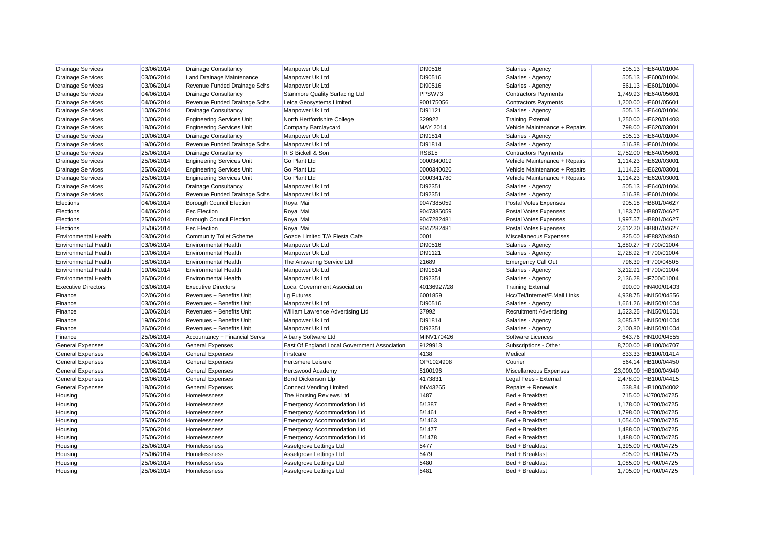| <b>Drainage Services</b>    | 03/06/2014 | <b>Drainage Consultancy</b>      | Manpower Uk Ltd                              | DI90516           | Salaries - Agency              | 505.13 HE640/01004    |
|-----------------------------|------------|----------------------------------|----------------------------------------------|-------------------|--------------------------------|-----------------------|
| <b>Drainage Services</b>    | 03/06/2014 | Land Drainage Maintenance        | Manpower Uk Ltd                              | DI90516           | Salaries - Agency              | 505.13 HE600/01004    |
| <b>Drainage Services</b>    | 03/06/2014 | Revenue Funded Drainage Schs     | Manpower Uk Ltd                              | DI90516           | Salaries - Agency              | 561.13 HE601/01004    |
| <b>Drainage Services</b>    | 04/06/2014 | <b>Drainage Consultancy</b>      | Stanmore Quality Surfacing Ltd               | PPSW73            | <b>Contractors Payments</b>    | 1,749.93 HE640/05601  |
| <b>Drainage Services</b>    | 04/06/2014 | Revenue Funded Drainage Schs     | Leica Geosystems Limited                     | 900175056         | <b>Contractors Payments</b>    | 1,200.00 HE601/05601  |
| <b>Drainage Services</b>    | 10/06/2014 | <b>Drainage Consultancy</b>      | Manpower Uk Ltd                              | DI91121           | Salaries - Agency              | 505.13 HE640/01004    |
| <b>Drainage Services</b>    | 10/06/2014 | <b>Engineering Services Unit</b> | North Hertfordshire College                  | 329922            | <b>Training External</b>       | 1,250.00 HE620/01403  |
| <b>Drainage Services</b>    | 18/06/2014 | <b>Engineering Services Unit</b> | Company Barclaycard                          | <b>MAY 2014</b>   | Vehicle Maintenance + Repairs  | 798.00 HE620/03001    |
| <b>Drainage Services</b>    | 19/06/2014 | <b>Drainage Consultancy</b>      | Manpower Uk Ltd                              | DI91814           | Salaries - Agency              | 505.13 HE640/01004    |
| <b>Drainage Services</b>    | 19/06/2014 | Revenue Funded Drainage Schs     | Manpower Uk Ltd                              | DI91814           | Salaries - Agency              | 516.38 HE601/01004    |
| <b>Drainage Services</b>    | 25/06/2014 | <b>Drainage Consultancy</b>      | R S Bickell & Son                            | RSB <sub>15</sub> | <b>Contractors Payments</b>    | 2,752.00 HE640/05601  |
| <b>Drainage Services</b>    | 25/06/2014 | <b>Engineering Services Unit</b> | Go Plant Ltd                                 | 0000340019        | Vehicle Maintenance + Repairs  | 1,114.23 HE620/03001  |
| <b>Drainage Services</b>    | 25/06/2014 | <b>Engineering Services Unit</b> | Go Plant Ltd                                 | 0000340020        | Vehicle Maintenance + Repairs  | 1,114.23 HE620/03001  |
| <b>Drainage Services</b>    | 25/06/2014 | <b>Engineering Services Unit</b> | Go Plant Ltd                                 | 0000341780        | Vehicle Maintenance + Repairs  | 1,114.23 HE620/03001  |
| <b>Drainage Services</b>    | 26/06/2014 | <b>Drainage Consultancy</b>      | Manpower Uk Ltd                              | DI92351           | Salaries - Agency              | 505.13 HE640/01004    |
| Drainage Services           | 26/06/2014 | Revenue Funded Drainage Schs     | Manpower Uk Ltd                              | DI92351           | Salaries - Agency              | 516.38 HE601/01004    |
| Elections                   | 04/06/2014 | <b>Borough Council Election</b>  | Royal Mail                                   | 9047385059        | Postal Votes Expenses          | 905.18 HB801/04627    |
| Elections                   | 04/06/2014 | <b>Eec Election</b>              | Royal Mail                                   | 9047385059        | Postal Votes Expenses          | 1,183.70 HB807/04627  |
| Elections                   | 25/06/2014 | <b>Borough Council Election</b>  | Royal Mail                                   | 9047282481        | Postal Votes Expenses          | 1,997.57 HB801/04627  |
| Elections                   | 25/06/2014 | <b>Eec Election</b>              | Royal Mail                                   | 9047282481        | Postal Votes Expenses          | 2,612.20 HB807/04627  |
| <b>Environmental Health</b> | 03/06/2014 | <b>Community Toilet Scheme</b>   | Gozde Limited T/A Fiesta Cafe                | 0001              | Miscellaneous Expenses         | 825.00 HE882/04940    |
| <b>Environmental Health</b> | 03/06/2014 | <b>Environmental Health</b>      | Manpower Uk Ltd                              | DI90516           | Salaries - Agency              | 1,880.27 HF700/01004  |
| <b>Environmental Health</b> | 10/06/2014 | <b>Environmental Health</b>      | Manpower Uk Ltd                              | DI91121           | Salaries - Agency              | 2,728.92 HF700/01004  |
| <b>Environmental Health</b> | 18/06/2014 | <b>Environmental Health</b>      | The Answering Service Ltd                    | 21689             | <b>Emergency Call Out</b>      | 796.39 HF700/04505    |
| <b>Environmental Health</b> | 19/06/2014 | <b>Environmental Health</b>      | Manpower Uk Ltd                              | DI91814           | Salaries - Agency              | 3,212.91 HF700/01004  |
| <b>Environmental Health</b> | 26/06/2014 | <b>Environmental Health</b>      | Manpower Uk Ltd                              | DI92351           | Salaries - Agency              | 2,136.28 HF700/01004  |
| <b>Executive Directors</b>  | 03/06/2014 | <b>Executive Directors</b>       | <b>Local Government Association</b>          | 40136927/28       | <b>Training External</b>       | 990.00 HN400/01403    |
| Finance                     | 02/06/2014 | Revenues + Benefits Unit         | Lg Futures                                   | 6001859           | Hcc/Tel/Internet/E.Mail Links  | 4,938.75 HN150/04556  |
| Finance                     | 03/06/2014 | Revenues + Benefits Unit         | Manpower Uk Ltd                              | DI90516           | Salaries - Agency              | 1,661.26 HN150/01004  |
| Finance                     | 10/06/2014 | Revenues + Benefits Unit         | William Lawrence Advertising Ltd             | 37992             | <b>Recruitment Advertising</b> | 1,523.25 HN150/01501  |
| Finance                     | 19/06/2014 | Revenues + Benefits Unit         | Manpower Uk Ltd                              | DI91814           | Salaries - Agency              | 3,085.37 HN150/01004  |
| Finance                     | 26/06/2014 | Revenues + Benefits Unit         | Manpower Uk Ltd                              | DI92351           | Salaries - Agency              | 2,100.80 HN150/01004  |
| Finance                     | 25/06/2014 | Accountancy + Financial Servs    | Albany Software Ltd                          | MINV170426        | Software Licences              | 643.76 HN100/04555    |
| <b>General Expenses</b>     | 03/06/2014 | <b>General Expenses</b>          | East Of England Local Government Association | 9129913           | Subscriptions - Other          | 8,700.00 HB100/04707  |
| <b>General Expenses</b>     | 04/06/2014 | <b>General Expenses</b>          | Firstcare                                    | 4138              | Medical                        | 833.33 HB100/01414    |
| <b>General Expenses</b>     | 10/06/2014 | <b>General Expenses</b>          | <b>Hertsmere Leisure</b>                     | OP/1024908        | Courier                        | 564.14 HB100/04450    |
| <b>General Expenses</b>     | 09/06/2014 | <b>General Expenses</b>          | Hertswood Academy                            | 5100196           | Miscellaneous Expenses         | 23,000.00 HB100/04940 |
| <b>General Expenses</b>     | 18/06/2014 | <b>General Expenses</b>          | Bond Dickenson Llp                           | 4173831           | Legal Fees - External          | 2,478.00 HB100/04415  |
| <b>General Expenses</b>     | 18/06/2014 | <b>General Expenses</b>          | <b>Connect Vending Limited</b>               | <b>INV43265</b>   | Repairs + Renewals             | 538.84 HB100/04002    |
| Housing                     | 25/06/2014 | Homelessness                     | The Housing Reviews Ltd                      | 1487              | Bed + Breakfast                | 715.00 HJ700/04725    |
| Housing                     | 25/06/2014 | <b>Homelessness</b>              | <b>Emergency Accommodation Ltd</b>           | 5/1387            | Bed + Breakfast                | 1,178.00 HJ700/04725  |
| Housing                     | 25/06/2014 | Homelessness                     | <b>Emergency Accommodation Ltd</b>           | 5/1461            | Bed + Breakfast                | 1,798.00 HJ700/04725  |
| Housing                     | 25/06/2014 | Homelessness                     | <b>Emergency Accommodation Ltd</b>           | 5/1463            | Bed + Breakfast                | 1,054.00 HJ700/04725  |
| Housing                     | 25/06/2014 | Homelessness                     | <b>Emergency Accommodation Ltd</b>           | 5/1477            | Bed + Breakfast                | 1,488.00 HJ700/04725  |
| Housing                     | 25/06/2014 | <b>Homelessness</b>              | <b>Emergency Accommodation Ltd</b>           | 5/1478            | Bed + Breakfast                | 1.488.00 HJ700/04725  |
| Housing                     | 25/06/2014 | Homelessness                     | Assetgrove Lettings Ltd                      | 5477              | Bed + Breakfast                | 1,395.00 HJ700/04725  |
| Housing                     | 25/06/2014 | Homelessness                     | Assetgrove Lettings Ltd                      | 5479              | Bed + Breakfast                | 805.00 HJ700/04725    |
| Housing                     | 25/06/2014 | <b>Homelessness</b>              | Assetgrove Lettings Ltd                      | 5480              | Bed + Breakfast                | 1,085.00 HJ700/04725  |
| Housing                     | 25/06/2014 | <b>Homelessness</b>              | Assetgrove Lettings Ltd                      | 5481              | Bed + Breakfast                | 1.705.00 HJ700/04725  |
|                             |            |                                  |                                              |                   |                                |                       |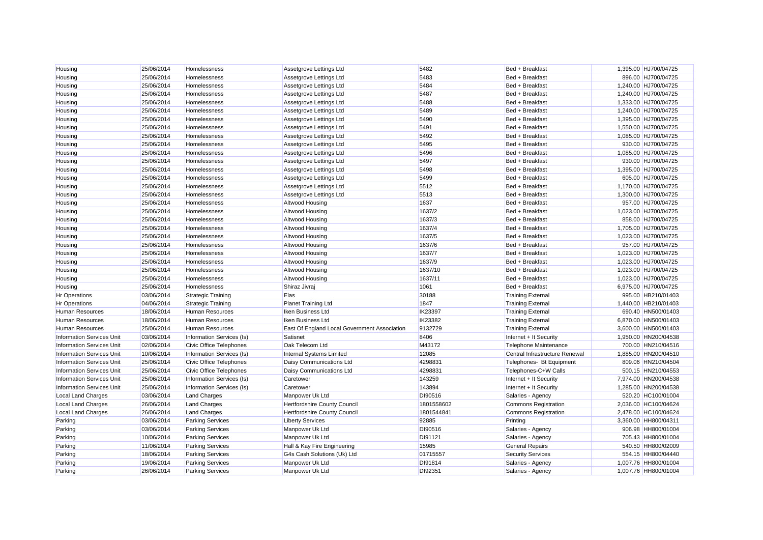| Housing                          | 25/06/2014 | Homelessness              | Assetgrove Lettings Ltd                      | 5482       | Bed + Breakfast                | 1,395.00 HJ700/04725 |
|----------------------------------|------------|---------------------------|----------------------------------------------|------------|--------------------------------|----------------------|
| Housing                          | 25/06/2014 | Homelessness              | Assetgrove Lettings Ltd                      | 5483       | Bed + Breakfast                | 896.00 HJ700/04725   |
| Housing                          | 25/06/2014 | Homelessness              | Assetgrove Lettings Ltd                      | 5484       | Bed + Breakfast                | 1,240.00 HJ700/04725 |
| Housing                          | 25/06/2014 | Homelessness              | Assetgrove Lettings Ltd                      | 5487       | Bed + Breakfast                | 1,240.00 HJ700/04725 |
| Housing                          | 25/06/2014 | Homelessness              | Assetgrove Lettings Ltd                      | 5488       | Bed + Breakfast                | 1,333.00 HJ700/04725 |
| Housing                          | 25/06/2014 | Homelessness              | Assetgrove Lettings Ltd                      | 5489       | Bed + Breakfast                | 1,240.00 HJ700/04725 |
| Housing                          | 25/06/2014 | Homelessness              | Assetgrove Lettings Ltd                      | 5490       | Bed + Breakfast                | 1,395.00 HJ700/04725 |
| Housing                          | 25/06/2014 | Homelessness              | Assetgrove Lettings Ltd                      | 5491       | Bed + Breakfast                | 1,550.00 HJ700/04725 |
| Housing                          | 25/06/2014 | Homelessness              | Assetgrove Lettings Ltd                      | 5492       | Bed + Breakfast                | 1,085.00 HJ700/04725 |
| Housing                          | 25/06/2014 | Homelessness              | Assetgrove Lettings Ltd                      | 5495       | Bed + Breakfast                | 930.00 HJ700/04725   |
| Housing                          | 25/06/2014 | Homelessness              | Assetgrove Lettings Ltd                      | 5496       | Bed + Breakfast                | 1,085.00 HJ700/04725 |
| Housing                          | 25/06/2014 | Homelessness              | Assetgrove Lettings Ltd                      | 5497       | Bed + Breakfast                | 930.00 HJ700/04725   |
| Housing                          | 25/06/2014 | Homelessness              | Assetgrove Lettings Ltd                      | 5498       | Bed + Breakfast                | 1,395.00 HJ700/04725 |
| Housing                          | 25/06/2014 | Homelessness              | Assetgrove Lettings Ltd                      | 5499       | Bed + Breakfast                | 605.00 HJ700/04725   |
| Housing                          | 25/06/2014 | Homelessness              | Assetgrove Lettings Ltd                      | 5512       | Bed + Breakfast                | 1,170.00 HJ700/04725 |
| Housing                          | 25/06/2014 | Homelessness              | Assetgrove Lettings Ltd                      | 5513       | Bed + Breakfast                | 1,300.00 HJ700/04725 |
| Housing                          | 25/06/2014 | Homelessness              | Altwood Housing                              | 1637       | Bed + Breakfast                | 957.00 HJ700/04725   |
| Housing                          | 25/06/2014 | Homelessness              | Altwood Housing                              | 1637/2     | Bed + Breakfast                | 1,023.00 HJ700/04725 |
| Housing                          | 25/06/2014 | Homelessness              | Altwood Housing                              | 1637/3     | Bed + Breakfast                | 858.00 HJ700/04725   |
| Housing                          | 25/06/2014 | Homelessness              | Altwood Housing                              | 1637/4     | Bed + Breakfast                | 1,705.00 HJ700/04725 |
| Housing                          | 25/06/2014 | Homelessness              | Altwood Housing                              | 1637/5     | Bed + Breakfast                | 1,023.00 HJ700/04725 |
| Housing                          | 25/06/2014 | Homelessness              | Altwood Housing                              | 1637/6     | Bed + Breakfast                | 957.00 HJ700/04725   |
| Housing                          | 25/06/2014 | Homelessness              | Altwood Housing                              | 1637/7     | Bed + Breakfast                | 1,023.00 HJ700/04725 |
| Housing                          | 25/06/2014 | Homelessness              | Altwood Housing                              | 1637/9     | Bed + Breakfast                | 1,023.00 HJ700/04725 |
| Housing                          | 25/06/2014 | Homelessness              | Altwood Housing                              | 1637/10    | Bed + Breakfast                | 1,023.00 HJ700/04725 |
| Housing                          | 25/06/2014 | Homelessness              | Altwood Housing                              | 1637/11    | Bed + Breakfast                | 1,023.00 HJ700/04725 |
| Housing                          | 25/06/2014 | Homelessness              | Shiraz Jivraj                                | 1061       | Bed + Breakfast                | 6,975.00 HJ700/04725 |
| <b>Hr Operations</b>             | 03/06/2014 | <b>Strategic Training</b> | <b>Elas</b>                                  | 30188      | <b>Training External</b>       | 995.00 HB210/01403   |
| <b>Hr Operations</b>             | 04/06/2014 | <b>Strategic Training</b> | <b>Planet Training Ltd</b>                   | 1847       | <b>Training External</b>       | 1,440.00 HB210/01403 |
| <b>Human Resources</b>           | 18/06/2014 | <b>Human Resources</b>    | Iken Business Ltd                            | IK23397    | <b>Training External</b>       | 690.40 HN500/01403   |
| <b>Human Resources</b>           | 18/06/2014 | <b>Human Resources</b>    | Iken Business Ltd                            | IK23382    | <b>Training External</b>       | 6,870.00 HN500/01403 |
| <b>Human Resources</b>           | 25/06/2014 | <b>Human Resources</b>    | East Of England Local Government Association | 9132729    | <b>Training External</b>       | 3,600.00 HN500/01403 |
| <b>Information Services Unit</b> | 03/06/2014 | Information Services (Is) | Satisnet                                     | 8406       | Internet + It Security         | 1,950.00 HN200/04538 |
| <b>Information Services Unit</b> | 02/06/2014 | Civic Office Telephones   | Oak Telecom Ltd                              | M43172     | <b>Telephone Maintenance</b>   | 700.00 HN210/04516   |
| <b>Information Services Unit</b> | 10/06/2014 | Information Services (Is) | <b>Internal Systems Limited</b>              | 12085      | Central Infrastructure Renewal | 1,885.00 HN200/04510 |
| <b>Information Services Unit</b> | 25/06/2014 | Civic Office Telephones   | Daisy Communications Ltd                     | 4298831    | Telephones- Bt Equipment       | 809.06 HN210/04504   |
| <b>Information Services Unit</b> | 25/06/2014 | Civic Office Telephones   | Daisy Communications Ltd                     | 4298831    | Telephones-C+W Calls           | 500.15 HN210/04553   |
| <b>Information Services Unit</b> | 25/06/2014 | Information Services (Is) | Caretower                                    | 143259     | Internet + It Security         | 7,974.00 HN200/04538 |
| <b>Information Services Unit</b> | 25/06/2014 | Information Services (Is) | Caretower                                    | 143894     | Internet + It Security         | 1,285.00 HN200/04538 |
| <b>Local Land Charges</b>        | 03/06/2014 | <b>Land Charges</b>       | Manpower Uk Ltd                              | DI90516    | Salaries - Agency              | 520.20 HC100/01004   |
| <b>Local Land Charges</b>        | 26/06/2014 | <b>Land Charges</b>       | Hertfordshire County Council                 | 1801558602 | <b>Commons Registration</b>    | 2,036.00 HC100/04624 |
| <b>Local Land Charges</b>        | 26/06/2014 | <b>Land Charges</b>       | <b>Hertfordshire County Council</b>          | 1801544841 | <b>Commons Registration</b>    | 2,478.00 HC100/04624 |
| Parking                          | 03/06/2014 | <b>Parking Services</b>   | <b>Liberty Services</b>                      | 92885      | Printing                       | 3,360.00 HH800/04311 |
| Parking                          | 03/06/2014 | <b>Parking Services</b>   | Manpower Uk Ltd                              | DI90516    | Salaries - Agency              | 906.98 HH800/01004   |
| Parking                          | 10/06/2014 | <b>Parking Services</b>   | Manpower Uk Ltd                              | DI91121    | Salaries - Agency              | 705.43 HH800/01004   |
| Parking                          | 11/06/2014 | <b>Parking Services</b>   | Hall & Kay Fire Engineering                  | 15985      | <b>General Repairs</b>         | 540.50 HH800/02009   |
| Parking                          | 18/06/2014 | <b>Parking Services</b>   | G4s Cash Solutions (Uk) Ltd                  | 01715557   | <b>Security Services</b>       | 554.15 HH800/04440   |
| Parking                          | 19/06/2014 | <b>Parking Services</b>   | Manpower Uk Ltd                              | DI91814    | Salaries - Agency              | 1.007.76 HH800/01004 |
| Parking                          | 26/06/2014 | <b>Parking Services</b>   | Manpower Uk Ltd                              | DI92351    | Salaries - Agency              | 1.007.76 HH800/01004 |
|                                  |            |                           |                                              |            |                                |                      |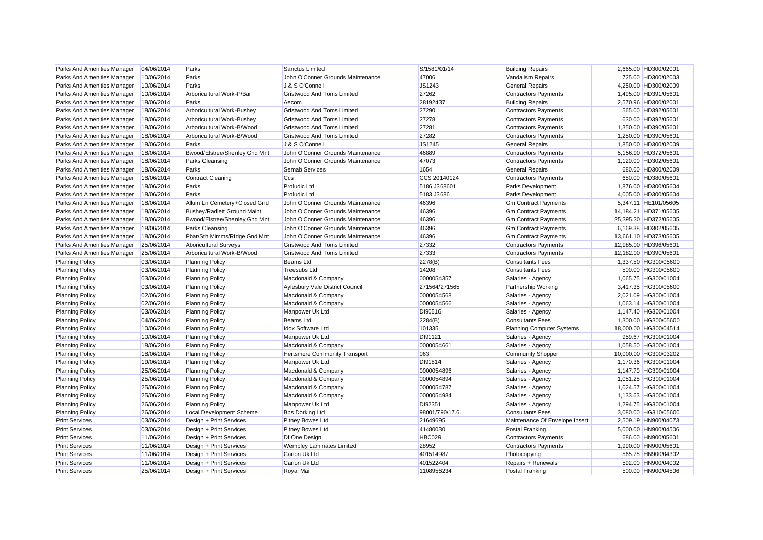| Parks And Amenities Manager | 04/06/2014 | Parks                           | Sanctus Limited                        | S/1581/01/14    | <b>Building Repairs</b>          | 2,665.00 HD300/02001  |
|-----------------------------|------------|---------------------------------|----------------------------------------|-----------------|----------------------------------|-----------------------|
| Parks And Amenities Manager | 10/06/2014 | Parks                           | John O'Conner Grounds Maintenance      | 47006           | Vandalism Repairs                | 725.00 HD300/02003    |
| Parks And Amenities Manager | 10/06/2014 | Parks                           | J & S O'Connell                        | JS1243          | <b>General Repairs</b>           | 4,250.00 HD300/02009  |
| Parks And Amenities Manager | 10/06/2014 | Arboricultural Work-P/Bar       | <b>Gristwood And Toms Limited</b>      | 27262           | <b>Contractors Payments</b>      | 1,495.00 HD391/05601  |
| Parks And Amenities Manager | 18/06/2014 | Parks                           | Aecom                                  | 28192437        | <b>Building Repairs</b>          | 2,570.96 HD300/02001  |
| Parks And Amenities Manager | 18/06/2014 | Arboricultural Work-Bushey      | <b>Gristwood And Toms Limited</b>      | 27290           | <b>Contractors Payments</b>      | 565.00 HD392/05601    |
| Parks And Amenities Manager | 18/06/2014 | Arboricultural Work-Bushey      | <b>Gristwood And Toms Limited</b>      | 27278           | <b>Contractors Payments</b>      | 630.00 HD392/05601    |
| Parks And Amenities Manager | 18/06/2014 | Arboricultural Work-B/Wood      | <b>Gristwood And Toms Limited</b>      | 27281           | <b>Contractors Payments</b>      | 1,350.00 HD390/05601  |
| Parks And Amenities Manager | 18/06/2014 | Arboricultural Work-B/Wood      | <b>Gristwood And Toms Limited</b>      | 27282           | <b>Contractors Payments</b>      | 1,250.00 HD390/05601  |
| Parks And Amenities Manager | 18/06/2014 | Parks                           | J & S O'Connell                        | JS1245          | <b>General Repairs</b>           | 1,850.00 HD300/02009  |
| Parks And Amenities Manager | 18/06/2014 | Bwood/Elstree/Shenley Gnd Mnt   | John O'Conner Grounds Maintenance      | 46889           | <b>Contractors Payments</b>      | 5,156.90 HD372/05601  |
| Parks And Amenities Manager | 18/06/2014 | Parks Cleansing                 | John O'Conner Grounds Maintenance      | 47073           | <b>Contractors Payments</b>      | 1,120.00 HD302/05601  |
| Parks And Amenities Manager | 18/06/2014 | Parks                           | <b>Semab Services</b>                  | 1654            | <b>General Repairs</b>           | 680.00 HD300/02009    |
| Parks And Amenities Manager | 18/06/2014 | <b>Contract Cleaning</b>        | Ccs                                    | CCS 20140124    | <b>Contractors Payments</b>      | 650.00 HD380/05601    |
| Parks And Amenities Manager | 18/06/2014 | Parks                           | <b>Proludic Ltd</b>                    | 5186 J368601    | Parks Development                | 1,876.00 HD300/05604  |
| Parks And Amenities Manager | 18/06/2014 | Parks                           | <b>Proludic Ltd</b>                    | 5183 J3686      | <b>Parks Development</b>         | 4,005.00 HD300/05604  |
| Parks And Amenities Manager | 18/06/2014 | Allum Ln Cemetery+Closed Gnd    | John O'Conner Grounds Maintenance      | 46396           | <b>Gm Contract Payments</b>      | 5,347.11 HE101/05605  |
| Parks And Amenities Manager | 18/06/2014 | Bushey/Radlett Ground Maint.    | John O'Conner Grounds Maintenance      | 46396           | <b>Gm Contract Payments</b>      | 14,184.21 HD371/05605 |
| Parks And Amenities Manager | 18/06/2014 | Bwood/Elstree/Shenley Gnd Mnt   | John O'Conner Grounds Maintenance      | 46396           | <b>Gm Contract Payments</b>      | 25,395.30 HD372/05605 |
| Parks And Amenities Manager | 18/06/2014 | <b>Parks Cleansing</b>          | John O'Conner Grounds Maintenance      | 46396           | <b>Gm Contract Payments</b>      | 6,169.38 HD302/05605  |
| Parks And Amenities Manager | 18/06/2014 | Pbar/Sth Mimms/Ridge Gnd Mnt    | John O'Conner Grounds Maintenance      | 46396           | <b>Gm Contract Payments</b>      | 13,661.10 HD373/05605 |
| Parks And Amenities Manager | 25/06/2014 | <b>Aboricultural Surveys</b>    | <b>Gristwood And Toms Limited</b>      | 27332           | <b>Contractors Payments</b>      | 12,985.00 HD396/05601 |
| Parks And Amenities Manager | 25/06/2014 | Arboricultural Work-B/Wood      | <b>Gristwood And Toms Limited</b>      | 27333           | <b>Contractors Payments</b>      | 12,182.00 HD390/05601 |
| <b>Planning Policy</b>      | 03/06/2014 | <b>Planning Policy</b>          | <b>Beams Ltd</b>                       | 2278(B)         | <b>Consultants Fees</b>          | 1,337.50 HG300/05600  |
| <b>Planning Policy</b>      | 03/06/2014 | <b>Planning Policy</b>          | <b>Treesubs Ltd</b>                    | 14208           | <b>Consultants Fees</b>          | 500.00 HG300/05600    |
| <b>Planning Policy</b>      | 03/06/2014 | <b>Planning Policy</b>          | Macdonald & Company                    | 0000054357      | Salaries - Agency                | 1,065.75 HG300/01004  |
| <b>Planning Policy</b>      | 03/06/2014 | <b>Planning Policy</b>          | <b>Aylesbury Vale District Council</b> | 271564/271565   | Partnership Working              | 3,417.35 HG300/05600  |
| <b>Planning Policy</b>      | 02/06/2014 | <b>Planning Policy</b>          | Macdonald & Company                    | 0000054568      | Salaries - Agency                | 2.021.09 HG300/01004  |
| <b>Planning Policy</b>      | 02/06/2014 | <b>Planning Policy</b>          | Macdonald & Company                    | 0000054566      | Salaries - Agency                | 1,063.14 HG300/01004  |
| <b>Planning Policy</b>      | 03/06/2014 | <b>Planning Policy</b>          | Manpower Uk Ltd                        | DI90516         | Salaries - Agency                | 1,147.40 HG300/01004  |
| <b>Planning Policy</b>      | 04/06/2014 | <b>Planning Policy</b>          | Beams Ltd                              | 2284(B)         | <b>Consultants Fees</b>          | 1,300.00 HG300/05600  |
| <b>Planning Policy</b>      | 10/06/2014 | <b>Planning Policy</b>          | <b>Idox Software Ltd</b>               | 101335          | <b>Planning Computer Systems</b> | 18,000.00 HG300/04514 |
| <b>Planning Policy</b>      | 10/06/2014 | <b>Planning Policy</b>          | Manpower Uk Ltd                        | DI91121         | Salaries - Agency                | 959.67 HG300/01004    |
| <b>Planning Policy</b>      | 18/06/2014 | <b>Planning Policy</b>          | Macdonald & Company                    | 0000054661      | Salaries - Agency                | 1,058.50 HG300/01004  |
| <b>Planning Policy</b>      | 18/06/2014 | <b>Planning Policy</b>          | <b>Hertsmere Community Transport</b>   | 063             | <b>Community Shopper</b>         | 10,000.00 HG300/03202 |
| <b>Planning Policy</b>      | 19/06/2014 | <b>Planning Policy</b>          | Manpower Uk Ltd                        | DI91814         | Salaries - Agency                | 1,170.36 HG300/01004  |
| <b>Planning Policy</b>      | 25/06/2014 | <b>Planning Policy</b>          | Macdonald & Company                    | 0000054896      | Salaries - Agency                | 1,147.70 HG300/01004  |
| <b>Planning Policy</b>      | 25/06/2014 | <b>Planning Policy</b>          | Macdonald & Company                    | 0000054894      | Salaries - Agency                | 1,051.25 HG300/01004  |
| <b>Planning Policy</b>      | 25/06/2014 | <b>Planning Policy</b>          | Macdonald & Company                    | 0000054787      | Salaries - Agency                | 1,024.57 HG300/01004  |
| <b>Planning Policy</b>      | 25/06/2014 | <b>Planning Policy</b>          | Macdonald & Company                    | 0000054984      | Salaries - Agency                | 1,133.63 HG300/01004  |
| <b>Planning Policy</b>      | 26/06/2014 | <b>Planning Policy</b>          | Manpower Uk Ltd                        | DI92351         | Salaries - Agency                | 1,294.75 HG300/01004  |
| <b>Planning Policy</b>      | 26/06/2014 | <b>Local Development Scheme</b> | <b>Bps Dorking Ltd</b>                 | 98001/790/17.6. | <b>Consultants Fees</b>          | 3,080.00 HG310/05600  |
| <b>Print Services</b>       | 03/06/2014 | Design + Print Services         | <b>Pitney Bowes Ltd</b>                | 21649695        | Maintenance Of Envelope Insert   | 2,509.19 HN900/04073  |
| <b>Print Services</b>       | 03/06/2014 | Design + Print Services         | <b>Pitney Bowes Ltd</b>                | 41480030        | <b>Postal Franking</b>           | 5,000.00 HN900/04506  |
| <b>Print Services</b>       | 11/06/2014 | Design + Print Services         | Df One Design                          | HBC029          | <b>Contractors Payments</b>      | 686.00 HN900/05601    |
| <b>Print Services</b>       | 11/06/2014 | Design + Print Services         | Wembley Laminates Limited              | 28952           | <b>Contractors Payments</b>      | 1,990.00 HN900/05601  |
| <b>Print Services</b>       | 11/06/2014 | Design + Print Services         | Canon Uk Ltd                           | 401514987       | Photocopying                     | 565.78 HN900/04302    |
| <b>Print Services</b>       | 11/06/2014 | Design + Print Services         | Canon Uk Ltd                           | 401522404       | Repairs + Renewals               | 592.00 HN900/04002    |
| <b>Print Services</b>       | 25/06/2014 | Design + Print Services         | Royal Mail                             | 1108956234      | <b>Postal Franking</b>           | 500.00 HN900/04506    |